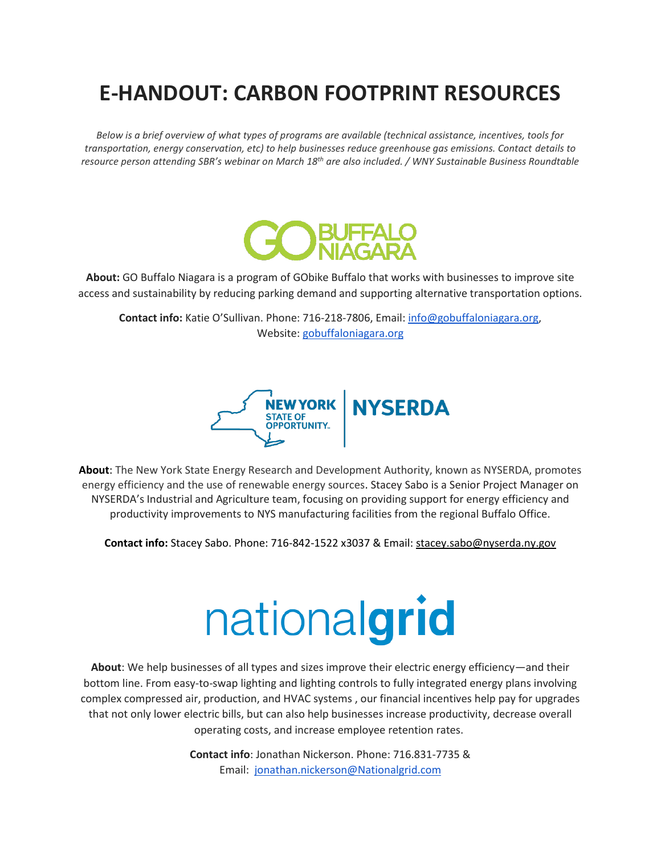## **E-HANDOUT: CARBON FOOTPRINT RESOURCES**

*Below is a brief overview of what types of programs are available (technical assistance, incentives, tools for transportation, energy conservation, etc) to help businesses reduce greenhouse gas emissions. Contact details to resource person attending SBR's webinar on March 18th are also included. / WNY Sustainable Business Roundtable*



**About:** GO Buffalo Niagara is a program of GObike Buffalo that works with businesses to improve site access and sustainability by reducing parking demand and supporting alternative transportation options.

**Contact info:** Katie O'Sullivan. Phone: 716-218-7806, Email: [info@gobuffaloniagara.org,](mailto:info@gobuffaloniagara.org) Website: [gobuffaloniagara.org](http://gobuffaloniagara.org/)



**About**: The New York State Energy Research and Development Authority, known as NYSERDA, promotes energy efficiency and the use of renewable energy sources. Stacey Sabo is a Senior Project Manager on NYSERDA's Industrial and Agriculture team, focusing on providing support for energy efficiency and productivity improvements to NYS manufacturing facilities from the regional Buffalo Office.

**Contact info:** Stacey Sabo. Phone: 716-842-1522 x3037 & Email: [stacey.sabo@nyserda.ny.gov](mailto:stacey.sabo@nyserda.ny.gov)

## nationalgrid

**About**: We help businesses of all types and sizes improve their electric energy efficiency—and their bottom line. From easy-to-swap lighting and lighting controls to fully integrated energy plans involving complex compressed air, production, and HVAC systems , our financial incentives help pay for upgrades that not only lower electric bills, but can also help businesses increase productivity, decrease overall operating costs, and increase employee retention rates.

> **Contact info**: Jonathan Nickerson. Phone: 716.831-7735 & Email: [jonathan.nickerson@Nationalgrid.com](mailto:jonathan.nickerson@Nationalgrid.com)